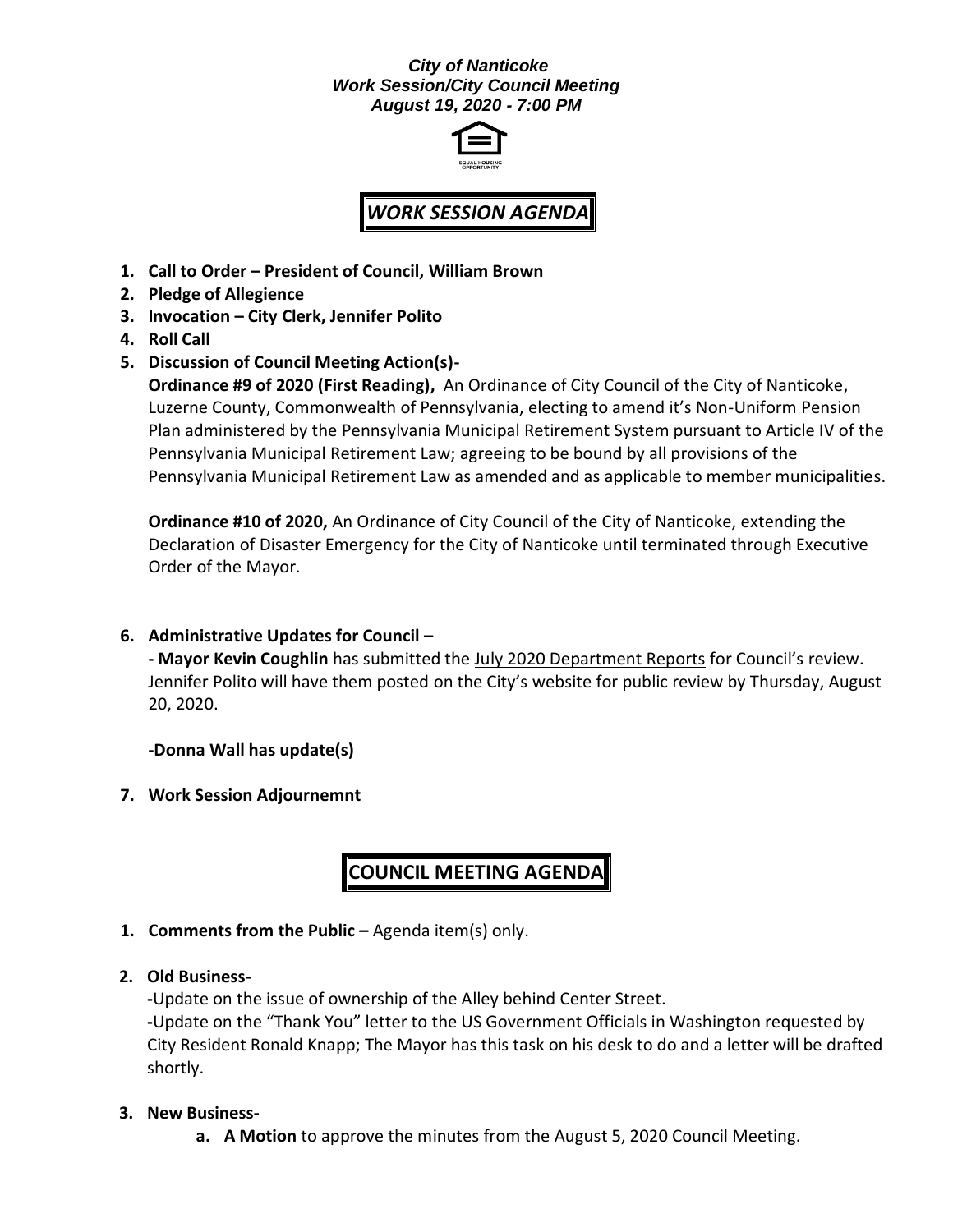## *City of Nanticoke Work Session/City Council Meeting August 19, 2020 - 7:00 PM*



## *WORK SESSION AGENDA*

- **1. Call to Order – President of Council, William Brown**
- **2. Pledge of Allegience**
- **3. Invocation – City Clerk, Jennifer Polito**
- **4. Roll Call**
- **5. Discussion of Council Meeting Action(s)-**

**Ordinance #9 of 2020 (First Reading),** An Ordinance of City Council of the City of Nanticoke, Luzerne County, Commonwealth of Pennsylvania, electing to amend it's Non-Uniform Pension Plan administered by the Pennsylvania Municipal Retirement System pursuant to Article IV of the Pennsylvania Municipal Retirement Law; agreeing to be bound by all provisions of the Pennsylvania Municipal Retirement Law as amended and as applicable to member municipalities.

**Ordinance #10 of 2020,** An Ordinance of City Council of the City of Nanticoke, extending the Declaration of Disaster Emergency for the City of Nanticoke until terminated through Executive Order of the Mayor.

**6. Administrative Updates for Council –**

**- Mayor Kevin Coughlin** has submitted the July 2020 Department Reports for Council's review. Jennifer Polito will have them posted on the City's website for public review by Thursday, August 20, 2020.

**-Donna Wall has update(s)**

**7. Work Session Adjournemnt**

## **COUNCIL MEETING AGENDA**

- **1. Comments from the Public –** Agenda item(s) only.
- **2. Old Business-**

**-**Update on the issue of ownership of the Alley behind Center Street. **-**Update on the "Thank You" letter to the US Government Officials in Washington requested by City Resident Ronald Knapp; The Mayor has this task on his desk to do and a letter will be drafted shortly.

## **3. New Business-**

**a. A Motion** to approve the minutes from the August 5, 2020 Council Meeting.